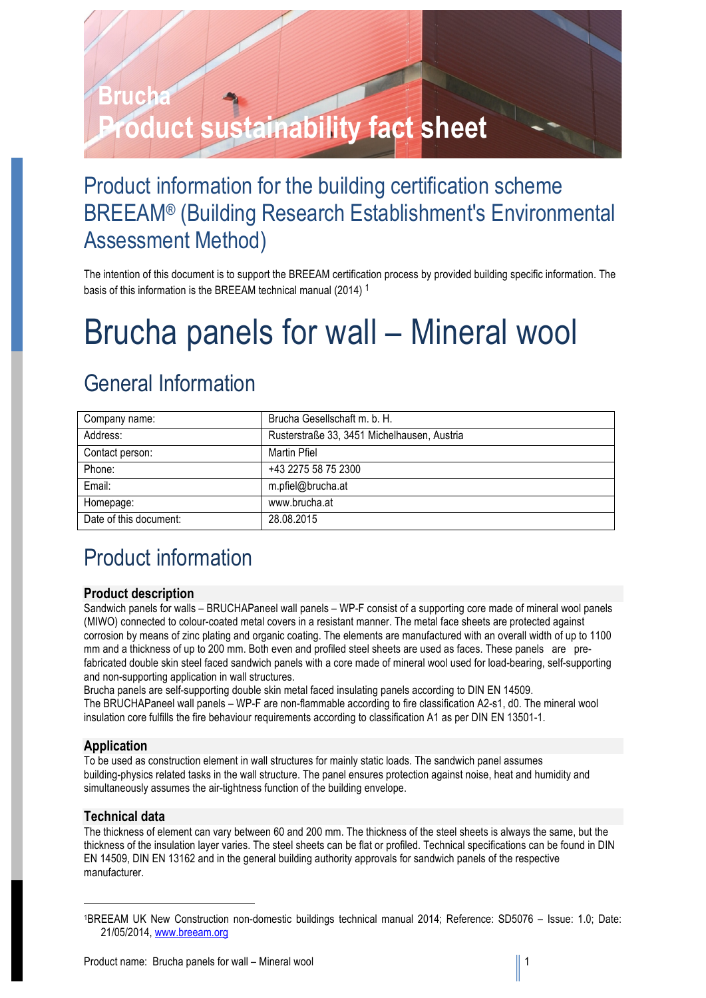# **UCA Product sustainability fact sheet**

### Product information for the building certification scheme BREEAM® (Building Research Establishment's Environmental Assessment Method)

The intention of this document is to support the BREEAM certification process by provided building specific information. The basis of this information is the BREEAM technical manual (2014) <sup>1</sup>

## Brucha panels for wall – Mineral wool

### General Information

| Company name:          | Brucha Gesellschaft m. b. H.                |
|------------------------|---------------------------------------------|
| Address:               | Rusterstraße 33, 3451 Michelhausen, Austria |
| Contact person:        | Martin Pfiel                                |
| Phone:                 | +43 2275 58 75 2300                         |
| Email:                 | m.pfiel@brucha.at                           |
| Homepage:              | www.brucha.at                               |
| Date of this document: | 28.08.2015                                  |

### Product information

### **Product description**

Sandwich panels for walls – BRUCHAPaneel wall panels – WP-F consist of a supporting core made of mineral wool panels (MIWO) connected to colour-coated metal covers in a resistant manner. The metal face sheets are protected against corrosion by means of zinc plating and organic coating. The elements are manufactured with an overall width of up to 1100 mm and a thickness of up to 200 mm. Both even and profiled steel sheets are used as faces. These panels are prefabricated double skin steel faced sandwich panels with a core made of mineral wool used for load-bearing, self-supporting and non-supporting application in wall structures.

Brucha panels are self-supporting double skin metal faced insulating panels according to DIN EN 14509. The BRUCHAPaneel wall panels – WP-F are non-flammable according to fire classification A2-s1, d0. The mineral wool insulation core fulfills the fire behaviour requirements according to classification A1 as per DIN EN 13501-1.

### **Application**

To be used as construction element in wall structures for mainly static loads. The sandwich panel assumes building-physics related tasks in the wall structure. The panel ensures protection against noise, heat and humidity and simultaneously assumes the air-tightness function of the building envelope.

### **Technical data**

1

The thickness of element can vary between 60 and 200 mm. The thickness of the steel sheets is always the same, but the thickness of the insulation layer varies. The steel sheets can be flat or profiled. Technical specifications can be found in DIN EN 14509, DIN EN 13162 and in the general building authority approvals for sandwich panels of the respective manufacturer.

<sup>1</sup>BREEAM UK New Construction non-domestic buildings technical manual 2014; Reference: SD5076 – Issue: 1.0; Date: 21/05/2014, www.breeam.org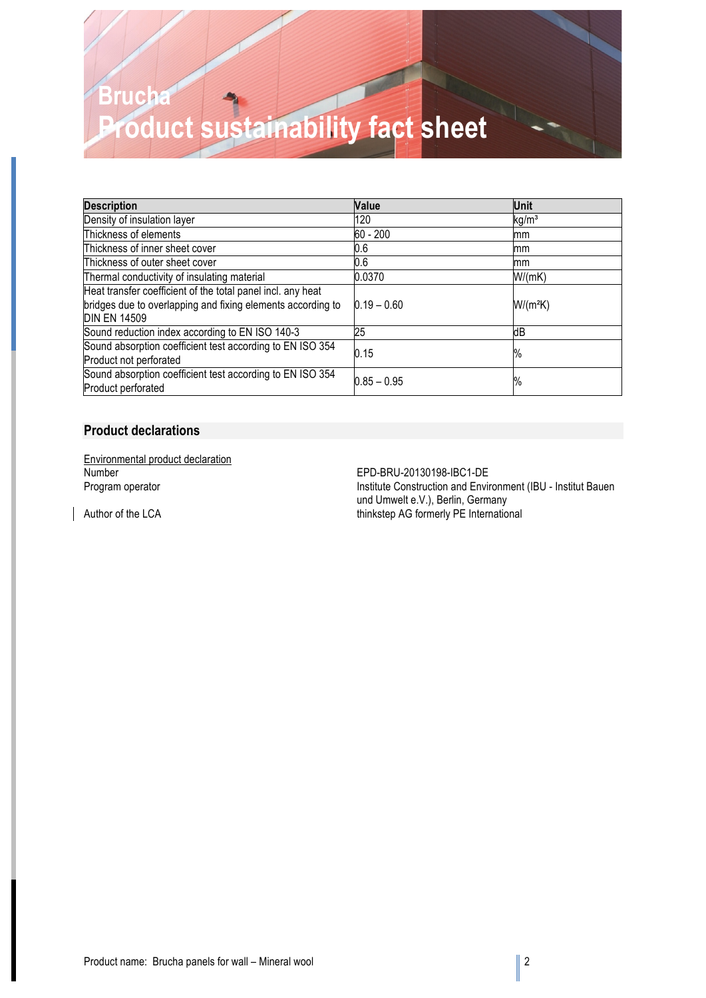### **Brucha Product sustainability fact sheet**

| <b>Description</b>                                                                  | Value         | Unit              |
|-------------------------------------------------------------------------------------|---------------|-------------------|
| Density of insulation layer                                                         | 120           | kg/m <sup>3</sup> |
| Thickness of elements                                                               | 60 - 200      | mm                |
| Thickness of inner sheet cover                                                      | 0.6           | mm                |
| Thickness of outer sheet cover                                                      | 0.6           | mm                |
| Thermal conductivity of insulating material                                         | 0.0370        | W/(mK)            |
| Heat transfer coefficient of the total panel incl. any heat                         |               |                   |
| bridges due to overlapping and fixing elements according to<br><b>DIN EN 14509</b>  | $0.19 - 0.60$ | $W/(m^2K)$        |
| Sound reduction index according to EN ISO 140-3                                     | 25            | dВ                |
| Sound absorption coefficient test according to EN ISO 354<br>Product not perforated | 0.15          | %                 |
| Sound absorption coefficient test according to EN ISO 354<br>Product perforated     | $0.85 - 0.95$ | %                 |

### **Product declarations**

Environmental product declaration Number<br>
Program operator<br>
Program operator<br>
Construction and Environmental Environmental Program operator<br>
Construction and Environmental Program operator<br>
Construction and Environmental Program operator<br>
Construction and

Institute Construction and Environment (IBU - Institut Bauen und Umwelt e.V.), Berlin, Germany Author of the LCA thinkstep AG formerly PE International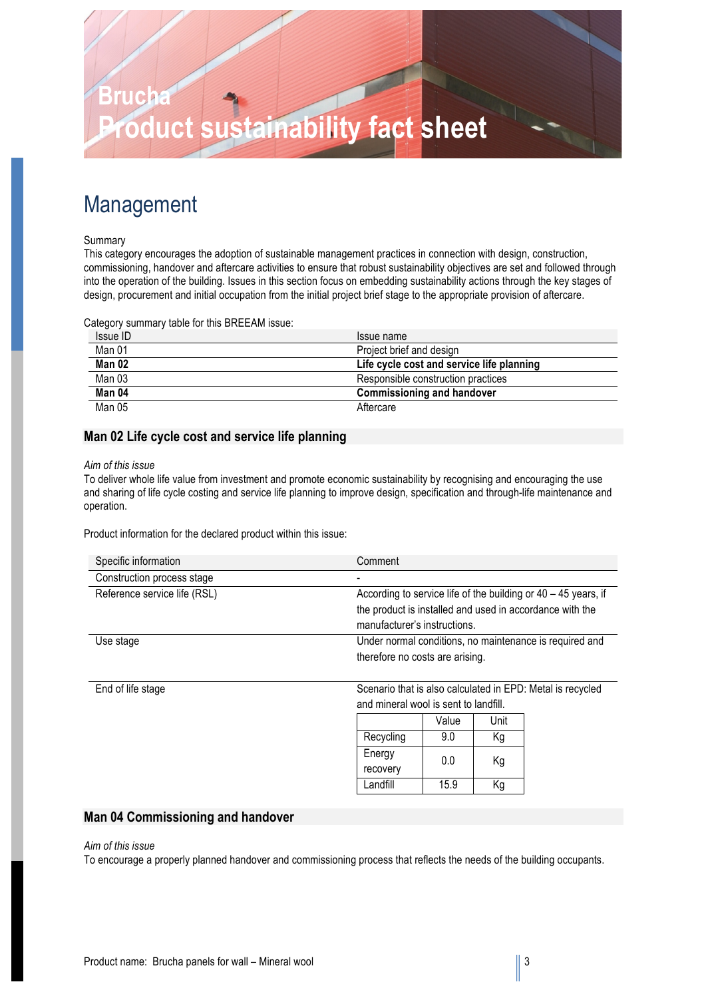

### Management

#### Summary

This category encourages the adoption of sustainable management practices in connection with design, construction, commissioning, handover and aftercare activities to ensure that robust sustainability objectives are set and followed through into the operation of the building. Issues in this section focus on embedding sustainability actions through the key stages of design, procurement and initial occupation from the initial project brief stage to the appropriate provision of aftercare.

Category summary table for this BREEAM issue:

| Issue ID | Issue name                                |
|----------|-------------------------------------------|
| Man 01   | Project brief and design                  |
| Man 02   | Life cycle cost and service life planning |
| Man 03   | Responsible construction practices        |
| Man 04   | <b>Commissioning and handover</b>         |
| Man 05   | Aftercare                                 |

### **Man 02 Life cycle cost and service life planning**

#### *Aim of this issue*

To deliver whole life value from investment and promote economic sustainability by recognising and encouraging the use and sharing of life cycle costing and service life planning to improve design, specification and through-life maintenance and operation.

Product information for the declared product within this issue:

| Specific information         | Comment                                                          |
|------------------------------|------------------------------------------------------------------|
| Construction process stage   |                                                                  |
| Reference service life (RSL) | According to service life of the building or $40 - 45$ years, if |
|                              | the product is installed and used in accordance with the         |
|                              | manufacturer's instructions.                                     |
| Use stage                    | Under normal conditions, no maintenance is required and          |
|                              | therefore no costs are arising.                                  |
|                              |                                                                  |

End of life stage Scenario that is also calculated in EPD: Metal is recycled and mineral wool is sent to landfill.

|           | Value | Unit |
|-----------|-------|------|
| Recycling | 9.0   | Κq   |
| Energy    | 0.0   | Κg   |
| recovery  |       |      |
| Landfill  | 15.9  | Κa   |

### **Man 04 Commissioning and handover**

#### *Aim of this issue*

To encourage a properly planned handover and commissioning process that reflects the needs of the building occupants.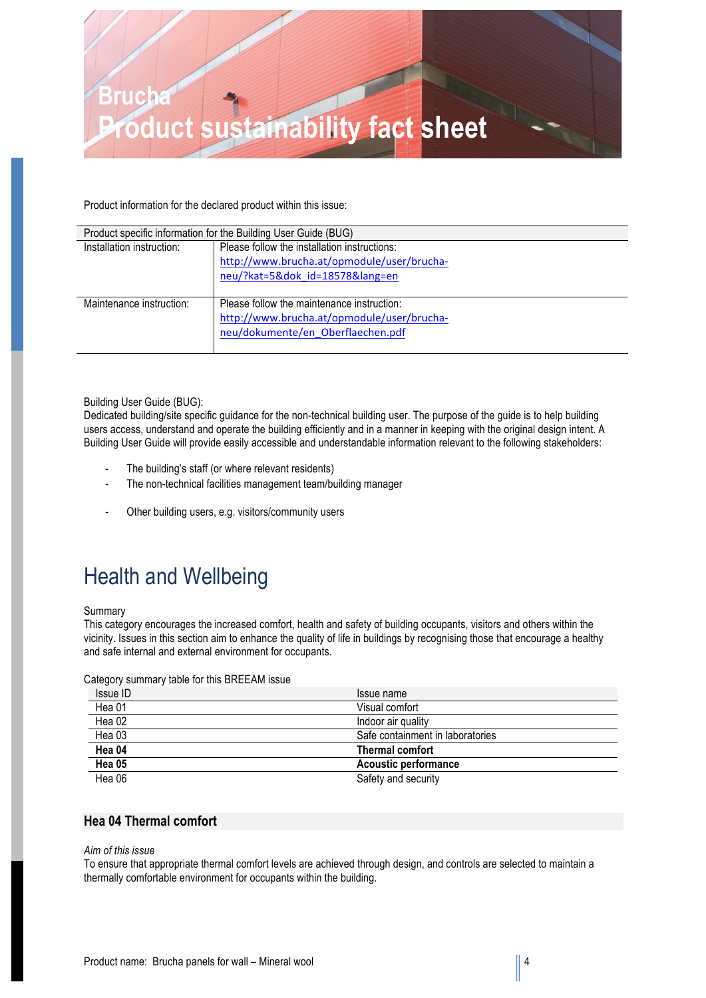

Product information for the declared product within this issue:

|                           | Product specific information for the Building User Guide (BUG)                                                                |  |
|---------------------------|-------------------------------------------------------------------------------------------------------------------------------|--|
| Installation instruction: | Please follow the installation instructions:<br>http://www.brucha.at/opmodule/user/brucha-<br>neu/?kat=5&dok id=18578⟨=en     |  |
|                           |                                                                                                                               |  |
| Maintenance instruction:  | Please follow the maintenance instruction:<br>http://www.brucha.at/opmodule/user/brucha-<br>neu/dokumente/en Oberflaechen.pdf |  |

#### Building User Guide (BUG):

Dedicated building/site specific guidance for the non-technical building user. The purpose of the guide is to help building users access, understand and operate the building efficiently and in a manner in keeping with the original design intent. A Building User Guide will provide easily accessible and understandable information relevant to the following stakeholders:

- The building's staff (or where relevant residents)
- The non-technical facilities management team/building manager
- Other building users, e.g. visitors/community users

### Health and Wellbeing

#### Summary

This category encourages the increased comfort, health and safety of building occupants, visitors and others within the vicinity. Issues in this section aim to enhance the quality of life in buildings by recognising those that encourage a healthy and safe internal and external environment for occupants.

Category summary table for this BREEAM issue

| Issue ID | Issue name                       |
|----------|----------------------------------|
| Hea 01   | Visual comfort                   |
| Hea 02   | Indoor air quality               |
| Hea 03   | Safe containment in laboratories |
| Hea 04   | <b>Thermal comfort</b>           |
| Hea 05   | <b>Acoustic performance</b>      |
| Hea 06   | Safety and security              |

### **Hea 04 Thermal comfort**

### *Aim of this issue*

To ensure that appropriate thermal comfort levels are achieved through design, and controls are selected to maintain a thermally comfortable environment for occupants within the building.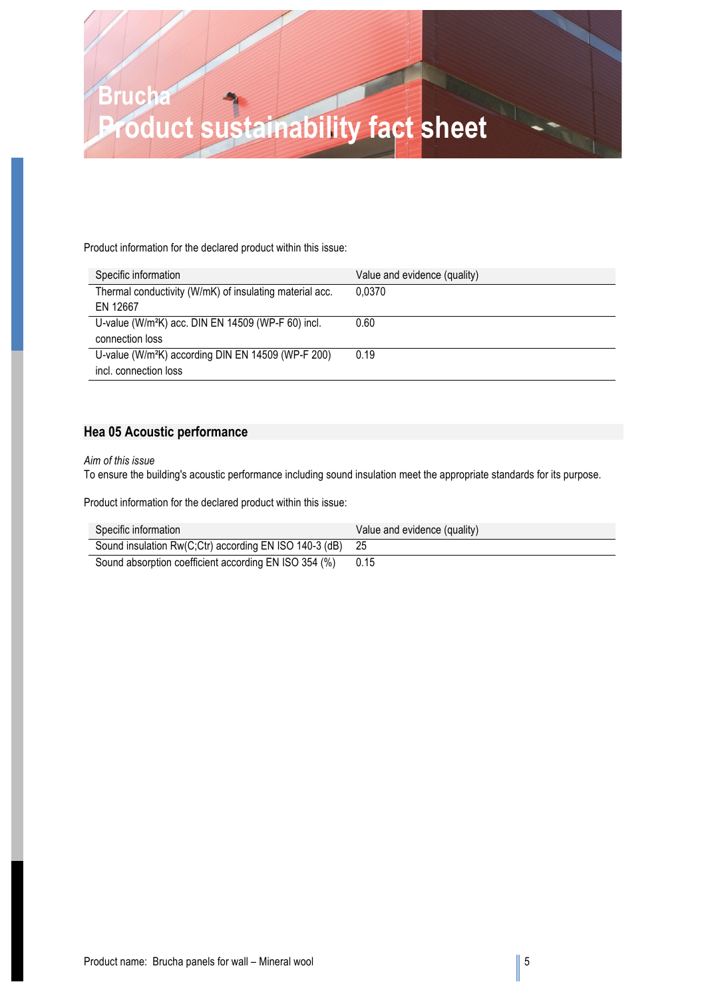

Product information for the declared product within this issue:

| Specific information                                           | Value and evidence (quality) |
|----------------------------------------------------------------|------------------------------|
| Thermal conductivity (W/mK) of insulating material acc.        | 0.0370                       |
| EN 12667                                                       |                              |
| U-value (W/m <sup>2</sup> K) acc. DIN EN 14509 (WP-F 60) incl. | 0.60                         |
| connection loss                                                |                              |
| U-value (W/m <sup>2</sup> K) according DIN EN 14509 (WP-F 200) | 0.19                         |
| incl. connection loss                                          |                              |

### **Hea 05 Acoustic performance**

### *Aim of this issue*

To ensure the building's acoustic performance including sound insulation meet the appropriate standards for its purpose.

Product information for the declared product within this issue:

| Specific information                                      | Value and evidence (quality) |
|-----------------------------------------------------------|------------------------------|
| Sound insulation Rw(C;Ctr) according EN ISO 140-3 (dB) 25 |                              |
| Sound absorption coefficient according EN ISO 354 (%)     | 0.15                         |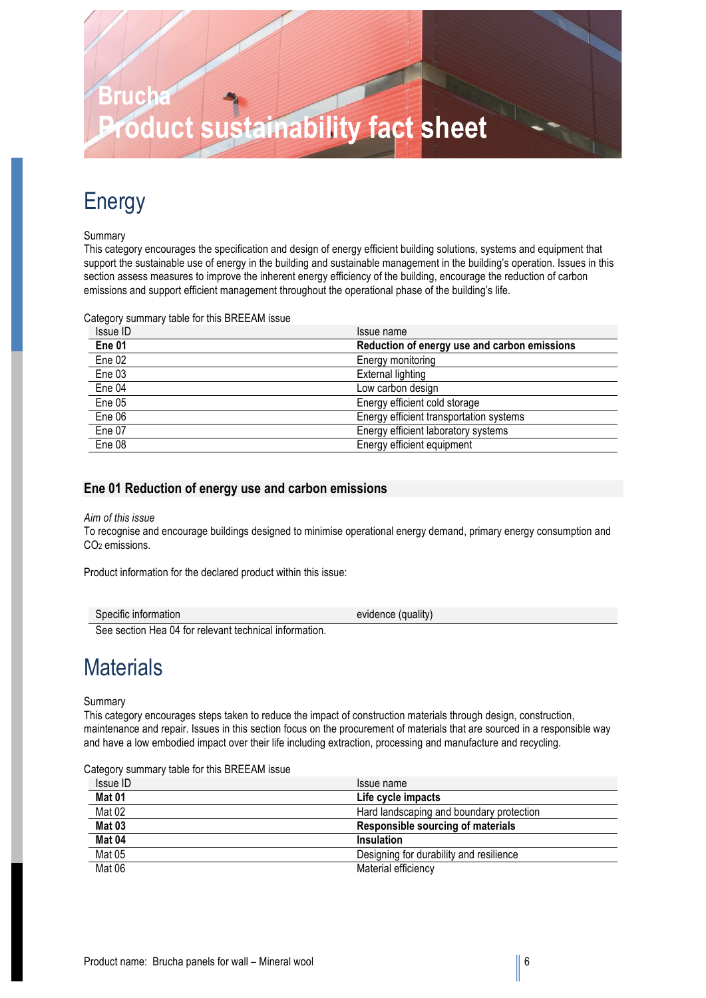# **Brucha Product sustainability fact sheet**

### Energy

### Summary

This category encourages the specification and design of energy efficient building solutions, systems and equipment that support the sustainable use of energy in the building and sustainable management in the building's operation. Issues in this section assess measures to improve the inherent energy efficiency of the building, encourage the reduction of carbon emissions and support efficient management throughout the operational phase of the building's life.

Category summary table for this BREEAM issue

| Issue ID | Issue name                                   |
|----------|----------------------------------------------|
| Ene 01   | Reduction of energy use and carbon emissions |
| Ene 02   | Energy monitoring                            |
| Ene 03   | External lighting                            |
| Ene 04   | Low carbon design                            |
| Ene 05   | Energy efficient cold storage                |
| Ene 06   | Energy efficient transportation systems      |
| Ene 07   | Energy efficient laboratory systems          |
| Ene 08   | Energy efficient equipment                   |

### **Ene 01 Reduction of energy use and carbon emissions**

### *Aim of this issue*

To recognise and encourage buildings designed to minimise operational energy demand, primary energy consumption and CO<sub>2</sub> emissions.

Product information for the declared product within this issue:

| Specific information                                   | evidence (quality) |
|--------------------------------------------------------|--------------------|
| Can analism Han OA for relationship should information |                    |

See section Hea 04 for relevant technical information.

### **Materials**

### Summary

This category encourages steps taken to reduce the impact of construction materials through design, construction, maintenance and repair. Issues in this section focus on the procurement of materials that are sourced in a responsible way and have a low embodied impact over their life including extraction, processing and manufacture and recycling.

Category summary table for this BREEAM issue

| Issue ID | Issue name                               |
|----------|------------------------------------------|
| Mat 01   | Life cycle impacts                       |
| Mat 02   | Hard landscaping and boundary protection |
| Mat 03   | Responsible sourcing of materials        |
| Mat 04   | Insulation                               |
| Mat 05   | Designing for durability and resilience  |
| Mat 06   | Material efficiency                      |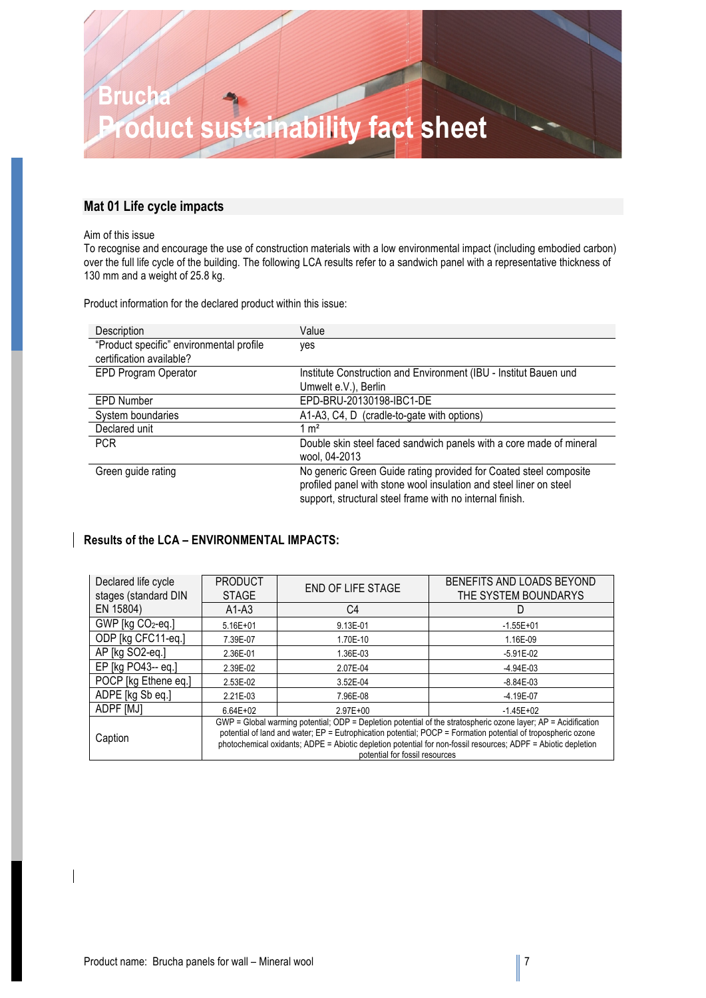

### **Mat 01 Life cycle impacts**

#### Aim of this issue

To recognise and encourage the use of construction materials with a low environmental impact (including embodied carbon) over the full life cycle of the building. The following LCA results refer to a sandwich panel with a representative thickness of 130 mm and a weight of 25.8 kg.

Product information for the declared product within this issue:

| Description                              | Value                                                               |
|------------------------------------------|---------------------------------------------------------------------|
| "Product specific" environmental profile | yes                                                                 |
| certification available?                 |                                                                     |
| EPD Program Operator                     | Institute Construction and Environment (IBU - Institut Bauen und    |
|                                          | Umwelt e.V.), Berlin                                                |
| <b>EPD Number</b>                        | EPD-BRU-20130198-IBC1-DE                                            |
| System boundaries                        | A1-A3, C4, D (cradle-to-gate with options)                          |
| Declared unit                            | $1 \text{ m}^2$                                                     |
| <b>PCR</b>                               | Double skin steel faced sandwich panels with a core made of mineral |
|                                          | wool, 04-2013                                                       |
| Green guide rating                       | No generic Green Guide rating provided for Coated steel composite   |
|                                          | profiled panel with stone wool insulation and steel liner on steel  |
|                                          | support, structural steel frame with no internal finish.            |

### **Results of the LCA – ENVIRONMENTAL IMPACTS:**

| Declared life cycle  | <b>PRODUCT</b><br><b>STAGE</b>                                                                                 | <b>END OF LIFE STAGE</b> | BENEFITS AND LOADS BEYOND<br>THE SYSTEM BOUNDARYS |
|----------------------|----------------------------------------------------------------------------------------------------------------|--------------------------|---------------------------------------------------|
| stages (standard DIN |                                                                                                                |                          |                                                   |
| EN 15804)            | $A1-A3$                                                                                                        | C4                       | D                                                 |
| GWP [kg CO2-eq.]     | $5.16E + 01$                                                                                                   | 9.13E-01                 | $-1.55E + 01$                                     |
| ODP [kg CFC11-eq.]   | 7.39E-07                                                                                                       | 1.70E-10                 | 1.16E-09                                          |
| AP [kg SO2-eq.]      | 2.36E-01                                                                                                       | 1.36E-03                 | $-5.91E-02$                                       |
| EP [kg PO43-- eq.]   | 2.39E-02                                                                                                       | 2.07E-04                 | $-4.94E-03$                                       |
| POCP [kg Ethene eq.] | 2.53E-02                                                                                                       | 3.52E-04                 | $-8.84E-03$                                       |
| ADPE [kg Sb eq.]     | 2.21E-03                                                                                                       | 7.96E-08                 | $-4.19E - 07$                                     |
| ADPF [MJ]            | $6.64E + 02$                                                                                                   | $2.97E + 00$             | $-1.45E+02$                                       |
|                      | GWP = Global warming potential; ODP = Depletion potential of the stratospheric ozone layer; AP = Acidification |                          |                                                   |
| Caption              | potential of land and water; EP = Eutrophication potential; POCP = Formation potential of tropospheric ozone   |                          |                                                   |
|                      | photochemical oxidants; ADPE = Abiotic depletion potential for non-fossil resources; ADPF = Abiotic depletion  |                          |                                                   |
|                      | potential for fossil resources                                                                                 |                          |                                                   |

 $\overline{\phantom{a}}$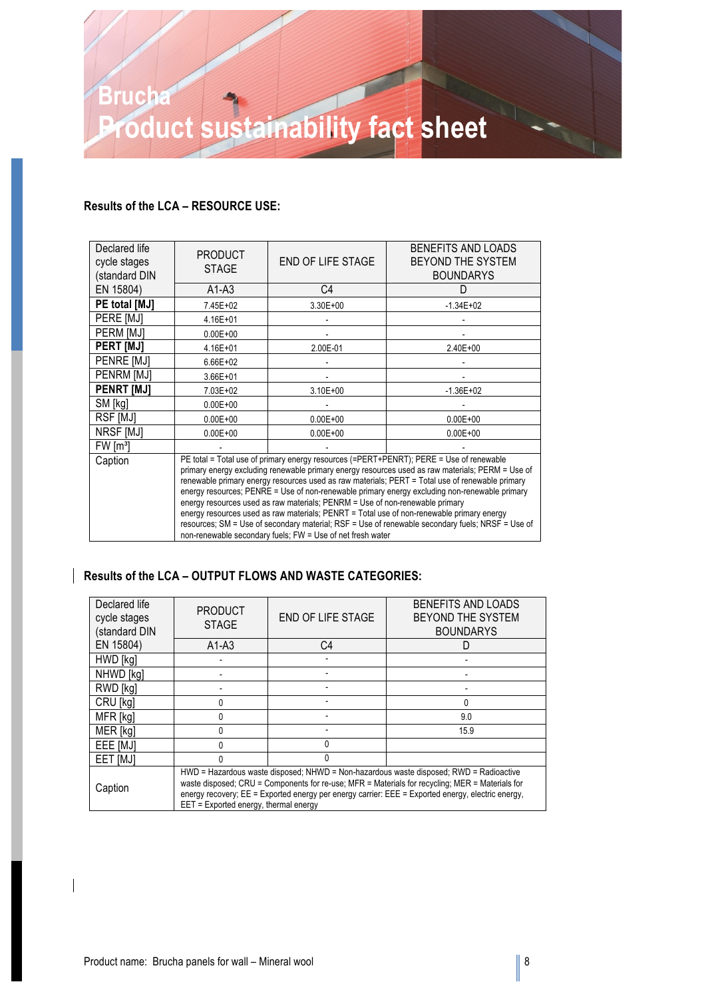

### **Results of the LCA – RESOURCE USE:**

| Declared life<br>cycle stages<br>(standard DIN | <b>PRODUCT</b><br><b>STAGE</b>                                                                                                                                                                                                                                                                                                                                                                                                                                                                                                                                                                                                                                                                                                                 | <b>END OF LIFE STAGE</b> | BENEFITS AND LOADS<br>BEYOND THE SYSTEM<br><b>BOUNDARYS</b> |
|------------------------------------------------|------------------------------------------------------------------------------------------------------------------------------------------------------------------------------------------------------------------------------------------------------------------------------------------------------------------------------------------------------------------------------------------------------------------------------------------------------------------------------------------------------------------------------------------------------------------------------------------------------------------------------------------------------------------------------------------------------------------------------------------------|--------------------------|-------------------------------------------------------------|
| EN 15804)                                      | $A1-A3$                                                                                                                                                                                                                                                                                                                                                                                                                                                                                                                                                                                                                                                                                                                                        | C4                       | D                                                           |
| PE total [MJ]                                  | 7.45E+02                                                                                                                                                                                                                                                                                                                                                                                                                                                                                                                                                                                                                                                                                                                                       | $3.30E + 00$             | $-1.34E+02$                                                 |
| PERE [MJ]                                      | 4.16E+01                                                                                                                                                                                                                                                                                                                                                                                                                                                                                                                                                                                                                                                                                                                                       |                          |                                                             |
| PERM [MJ]                                      | $0.00E + 00$                                                                                                                                                                                                                                                                                                                                                                                                                                                                                                                                                                                                                                                                                                                                   |                          |                                                             |
| <b>PERT [MJ]</b>                               | 4.16E+01                                                                                                                                                                                                                                                                                                                                                                                                                                                                                                                                                                                                                                                                                                                                       | 2.00E-01                 | $2.40E + 00$                                                |
| PENRE [MJ]                                     | 6.66E+02                                                                                                                                                                                                                                                                                                                                                                                                                                                                                                                                                                                                                                                                                                                                       |                          |                                                             |
| PENRM [MJ]                                     | $3.66E + 01$                                                                                                                                                                                                                                                                                                                                                                                                                                                                                                                                                                                                                                                                                                                                   |                          |                                                             |
| <b>PENRT [MJ]</b>                              | 7.03E+02                                                                                                                                                                                                                                                                                                                                                                                                                                                                                                                                                                                                                                                                                                                                       | $3.10E + 00$             | $-1.36E + 02$                                               |
| SM [kg]                                        | $0.00E + 00$                                                                                                                                                                                                                                                                                                                                                                                                                                                                                                                                                                                                                                                                                                                                   |                          |                                                             |
| RSF [MJ]                                       | $0.00E + 00$                                                                                                                                                                                                                                                                                                                                                                                                                                                                                                                                                                                                                                                                                                                                   | $0.00E + 00$             | $0.00E + 00$                                                |
| NRSF [MJ]                                      | $0.00E + 00$                                                                                                                                                                                                                                                                                                                                                                                                                                                                                                                                                                                                                                                                                                                                   | $0.00E + 00$             | $0.00E + 00$                                                |
| FW [m <sup>3</sup> ]                           |                                                                                                                                                                                                                                                                                                                                                                                                                                                                                                                                                                                                                                                                                                                                                |                          |                                                             |
| Caption                                        | PE total = Total use of primary energy resources (=PERT+PENRT); PERE = Use of renewable<br>primary energy excluding renewable primary energy resources used as raw materials; PERM = Use of<br>renewable primary energy resources used as raw materials; PERT = Total use of renewable primary<br>energy resources; PENRE = Use of non-renewable primary energy excluding non-renewable primary<br>energy resources used as raw materials; PENRM = Use of non-renewable primary<br>energy resources used as raw materials; PENRT = Total use of non-renewable primary energy<br>resources; SM = Use of secondary material; RSF = Use of renewable secondary fuels; NRSF = Use of<br>non-renewable secondary fuels; FW = Use of net fresh water |                          |                                                             |

### **Results of the LCA – OUTPUT FLOWS AND WASTE CATEGORIES:**

| Declared life<br>cycle stages<br>(standard DIN | <b>PRODUCT</b><br><b>STAGE</b>                                                                                                                                                                                                                                                                                                             | <b>END OF LIFE STAGE</b> | BENEFITS AND LOADS<br>BEYOND THE SYSTEM<br><b>BOUNDARYS</b> |
|------------------------------------------------|--------------------------------------------------------------------------------------------------------------------------------------------------------------------------------------------------------------------------------------------------------------------------------------------------------------------------------------------|--------------------------|-------------------------------------------------------------|
| EN 15804)                                      | $A1-A3$                                                                                                                                                                                                                                                                                                                                    | C4                       |                                                             |
| HWD [kg]                                       |                                                                                                                                                                                                                                                                                                                                            |                          |                                                             |
| NHWD [kg]                                      |                                                                                                                                                                                                                                                                                                                                            |                          |                                                             |
| RWD [kg]                                       |                                                                                                                                                                                                                                                                                                                                            |                          |                                                             |
| CRU [kg]                                       |                                                                                                                                                                                                                                                                                                                                            |                          | 0                                                           |
| MFR [kg]                                       |                                                                                                                                                                                                                                                                                                                                            |                          | 9.0                                                         |
| MER [kg]                                       |                                                                                                                                                                                                                                                                                                                                            |                          | 15.9                                                        |
| EEE [MJ]                                       |                                                                                                                                                                                                                                                                                                                                            |                          |                                                             |
| EET [MJ]                                       |                                                                                                                                                                                                                                                                                                                                            | N                        |                                                             |
| Caption                                        | HWD = Hazardous waste disposed; NHWD = Non-hazardous waste disposed; RWD = Radioactive<br>waste disposed; CRU = Components for re-use; MFR = Materials for recycling; MER = Materials for<br>energy recovery; EE = Exported energy per energy carrier: EEE = Exported energy, electric energy,<br>$EET = Exported energy$ , thermal energy |                          |                                                             |

 $\overline{\phantom{a}}$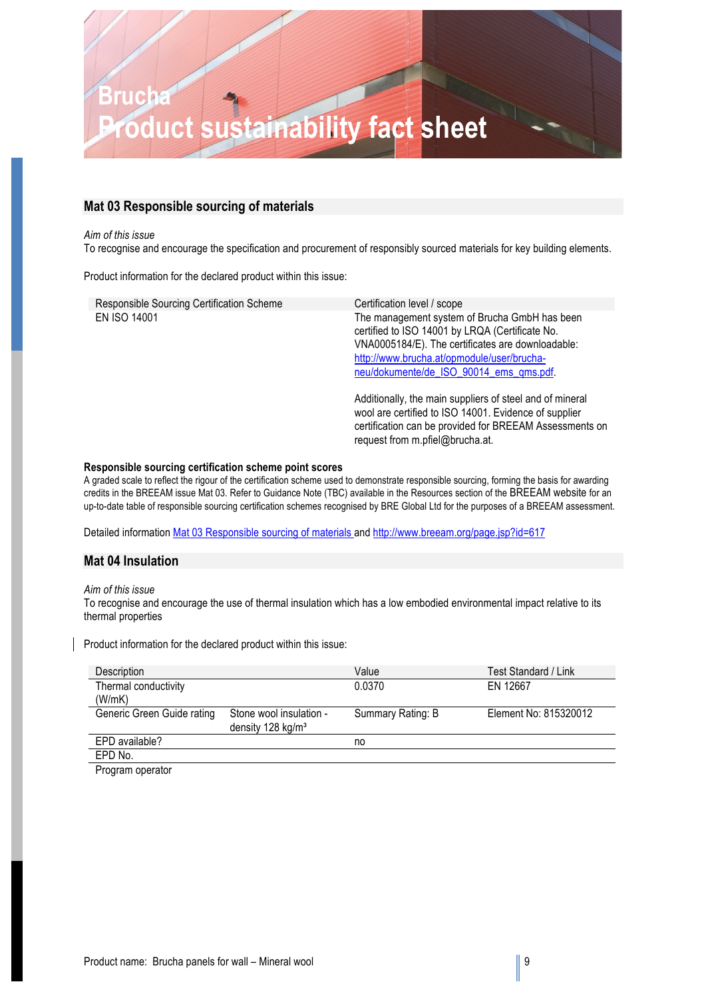### **Brucha Product sustainability fact sheet**

### **Mat 03 Responsible sourcing of materials**

#### *Aim of this issue*

To recognise and encourage the specification and procurement of responsibly sourced materials for key building elements.

Product information for the declared product within this issue:

| Responsible Sourcing Certification Scheme | Certification level / scope                                                                                                                                                                                                                    |
|-------------------------------------------|------------------------------------------------------------------------------------------------------------------------------------------------------------------------------------------------------------------------------------------------|
| <b>EN ISO 14001</b>                       | The management system of Brucha GmbH has been<br>certified to ISO 14001 by LRQA (Certificate No.<br>VNA0005184/E). The certificates are downloadable:<br>http://www.brucha.at/opmodule/user/brucha-<br>neu/dokumente/de_ISO_90014_ems_qms.pdf. |
|                                           | Additionally, the main suppliers of steel and of mineral<br>wool are certified to ISO 14001. Evidence of supplier<br>certification can be provided for BREEAM Assessments on<br>request from m.pfiel@brucha.at.                                |

#### **Responsible sourcing certification scheme point scores**

A graded scale to reflect the rigour of the certification scheme used to demonstrate responsible sourcing, forming the basis for awarding credits in the BREEAM issue Mat 03. Refer to Guidance Note (TBC) available in the Resources section of the BREEAM website for an up-to-date table of responsible sourcing certification schemes recognised by BRE Global Ltd for the purposes of a BREEAM assessment.

Detailed information Mat 03 Responsible sourcing of materials and http://www.breeam.org/page.jsp?id=617

### **Mat 04 Insulation**

#### *Aim of this issue*

To recognise and encourage the use of thermal insulation which has a low embodied environmental impact relative to its thermal properties

Product information for the declared product within this issue:

| Description                |                               | Value             | Test Standard / Link  |
|----------------------------|-------------------------------|-------------------|-----------------------|
| Thermal conductivity       |                               | 0.0370            | EN 12667              |
| (W/mK)                     |                               |                   |                       |
| Generic Green Guide rating | Stone wool insulation -       | Summary Rating: B | Element No: 815320012 |
|                            | density 128 kg/m <sup>3</sup> |                   |                       |
| EPD available?             |                               | no                |                       |
| EPD No.                    |                               |                   |                       |
| $\blacksquare$             |                               |                   |                       |

Program operator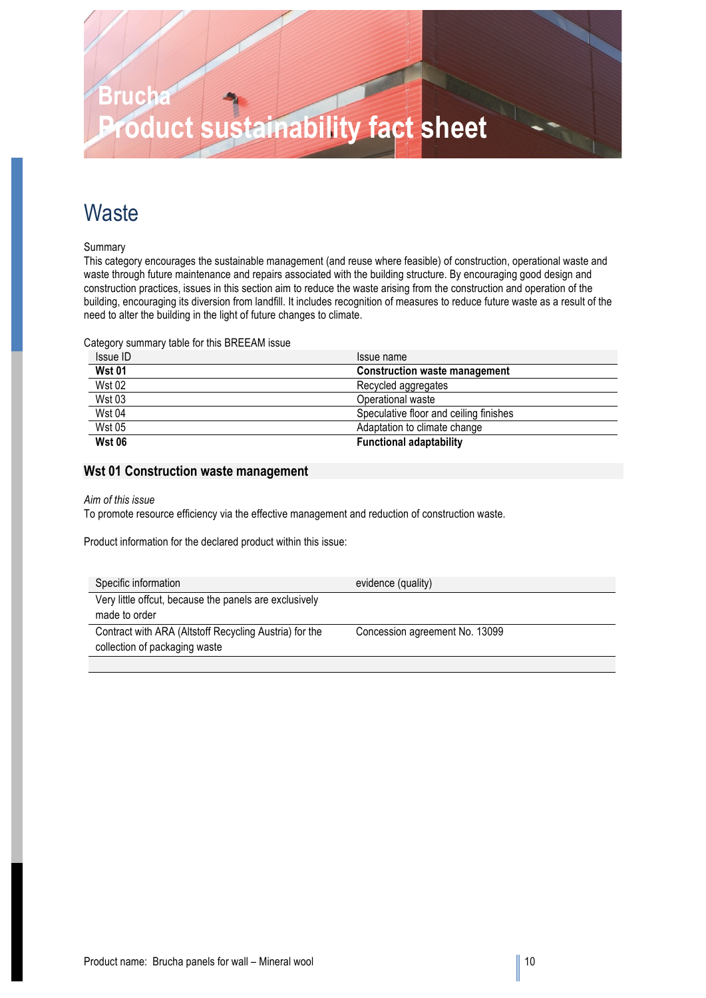

### **Waste**

Summary

This category encourages the sustainable management (and reuse where feasible) of construction, operational waste and waste through future maintenance and repairs associated with the building structure. By encouraging good design and construction practices, issues in this section aim to reduce the waste arising from the construction and operation of the building, encouraging its diversion from landfill. It includes recognition of measures to reduce future waste as a result of the need to alter the building in the light of future changes to climate.

Category summary table for this BREEAM issue

| Issue ID      | Issue name                             |
|---------------|----------------------------------------|
| <b>Wst 01</b> | <b>Construction waste management</b>   |
| <b>Wst 02</b> | Recycled aggregates                    |
| <b>Wst 03</b> | Operational waste                      |
| <b>Wst 04</b> | Speculative floor and ceiling finishes |
| <b>Wst 05</b> | Adaptation to climate change           |
| <b>Wst 06</b> | <b>Functional adaptability</b>         |

### **Wst 01 Construction waste management**

#### *Aim of this issue*

To promote resource efficiency via the effective management and reduction of construction waste.

Product information for the declared product within this issue:

| Specific information                                   | evidence (quality)             |
|--------------------------------------------------------|--------------------------------|
| Very little offcut, because the panels are exclusively |                                |
| made to order                                          |                                |
| Contract with ARA (Altstoff Recycling Austria) for the | Concession agreement No. 13099 |
| collection of packaging waste                          |                                |
|                                                        |                                |